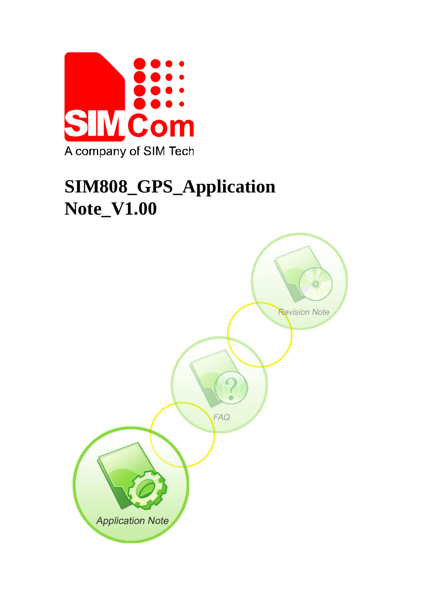

# **SIM808\_GPS\_Application Note\_V1.00**

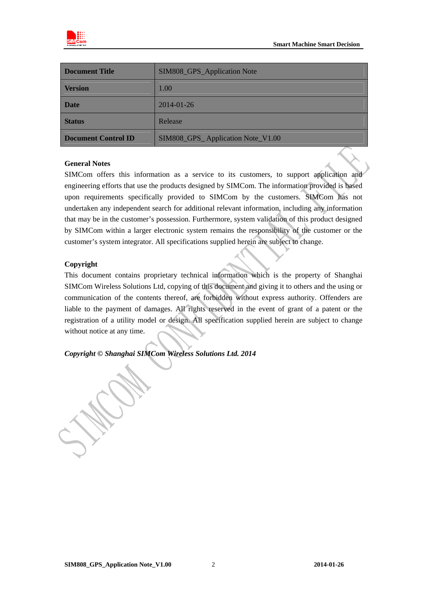

| Document Title      | SIM808_GPS_Application Note       |
|---------------------|-----------------------------------|
| <b>Version</b>      | 1.00                              |
| <b>Date</b>         | 2014-01-26                        |
| <b>Status</b>       | Release                           |
| Document Control ID | SIM808_GPS_Application Note_V1.00 |

#### **General Notes**

SIMCom offers this information as a service to its customers, to support application and engineering efforts that use the products designed by SIMCom. The information provided is based upon requirements specifically provided to SIMCom by the customers. SIMCom has not undertaken any independent search for additional relevant information, including any information that may be in the customer's possession. Furthermore, system validation of this product designed by SIMCom within a larger electronic system remains the responsibility of the customer or the customer's system integrator. All specifications supplied herein are subject to change.

#### **Copyright**

This document contains proprietary technical information which is the property of Shanghai SIMCom Wireless Solutions Ltd, copying of this document and giving it to others and the using or communication of the contents thereof, are forbidden without express authority. Offenders are liable to the payment of damages. All rights reserved in the event of grant of a patent or the registration of a utility model or design. All specification supplied herein are subject to change without notice at any time.

*Copyright © Shanghai SIMCom Wireless Solutions Ltd. 2014*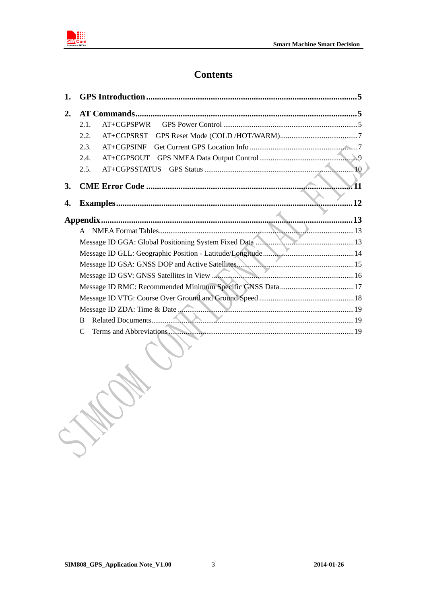

### **Contents**

| 2. |                             |
|----|-----------------------------|
|    | $AT+CGPSPWR$<br>2.1.        |
|    | 2.2.<br>$AT+CGPSRST$        |
|    | 2.3.<br>$AT+CGPSINE$        |
|    | 2.4.<br>AT+CGPSOUT          |
|    | 10<br>AT+CGPSSTATUS<br>2.5. |
| 3. |                             |
| 4. | 12                          |
|    |                             |
|    | $\mathsf{A}$                |
|    |                             |
|    |                             |
|    |                             |
|    |                             |
|    |                             |
|    |                             |
|    |                             |
|    | B                           |
|    |                             |

J. C.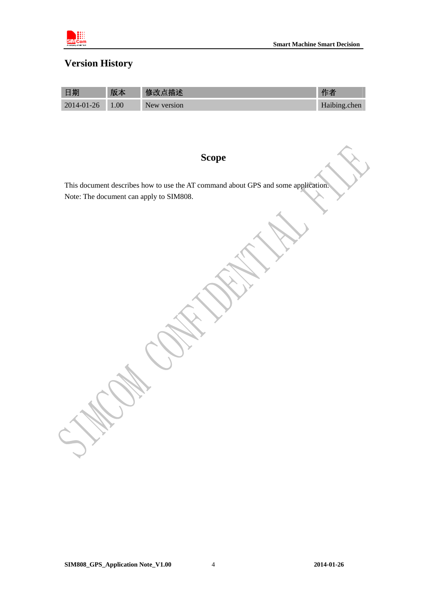

# **Version History**

| 日期         | 版本   | 修改点描述       |              |
|------------|------|-------------|--------------|
| 2014-01-26 | 1.00 | New version | Haibing.chen |

# **Scope**

This document describes how to use the AT command about GPS and some application. Note: The document can apply to SIM808.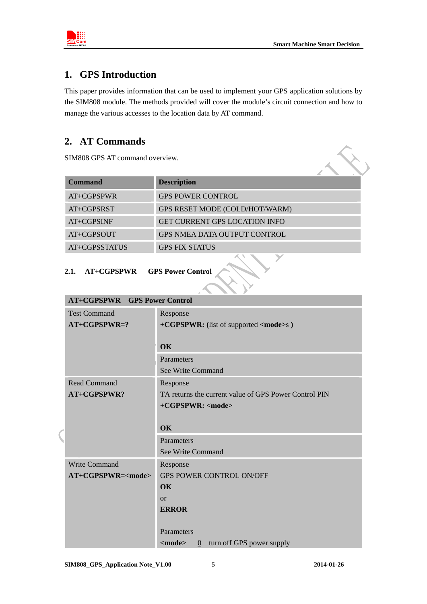<span id="page-4-0"></span>

### **1. GPS Introduction**

This paper provides information that can be used to implement your GPS application solutions by the SIM808 module. The methods provided will cover the module's circuit connection and how to manage the various accesses to the location data by AT command.

## **2. AT Commands**

SIM808 GPS AT command overview.

| <b>Command</b> | <b>Description</b>                   |  |
|----------------|--------------------------------------|--|
| AT+CGPSPWR     | <b>GPS POWER CONTROL</b>             |  |
| AT+CGPSRST     | GPS RESET MODE (COLD/HOT/WARM)       |  |
| AT+CGPSINF     | <b>GET CURRENT GPS LOCATION INFO</b> |  |
| AT+CGPSOUT     | <b>GPS NMEA DATA OUTPUT CONTROL</b>  |  |
| AT+CGPSSTATUS  | <b>GPS FIX STATUS</b>                |  |
|                |                                      |  |

### **2.1. AT+CGPSPWR GPS Power Control**

| <b>AT+CGPSPWR</b> GPS Power Control |                                                             |  |
|-------------------------------------|-------------------------------------------------------------|--|
| <b>Test Command</b>                 | Response                                                    |  |
| $AT+CGPSPWR=?$                      | +CGPSPWR: (list of supported <mode>s)</mode>                |  |
|                                     |                                                             |  |
|                                     | OK                                                          |  |
|                                     | Parameters                                                  |  |
|                                     | See Write Command                                           |  |
| <b>Read Command</b>                 | Response                                                    |  |
| AT+CGPSPWR?                         | TA returns the current value of GPS Power Control PIN       |  |
|                                     | +CGPSPWR: <mode></mode>                                     |  |
|                                     |                                                             |  |
|                                     | OK                                                          |  |
|                                     | Parameters                                                  |  |
|                                     | <b>See Write Command</b>                                    |  |
| <b>Write Command</b>                | Response                                                    |  |
| $AT+CGPSPWR = <$ mode>              | <b>GPS POWER CONTROL ON/OFF</b>                             |  |
|                                     | OK                                                          |  |
|                                     | $\alpha$                                                    |  |
|                                     | <b>ERROR</b>                                                |  |
|                                     |                                                             |  |
|                                     | Parameters                                                  |  |
|                                     | $<$ mode $>$<br>turn off GPS power supply<br>$\overline{0}$ |  |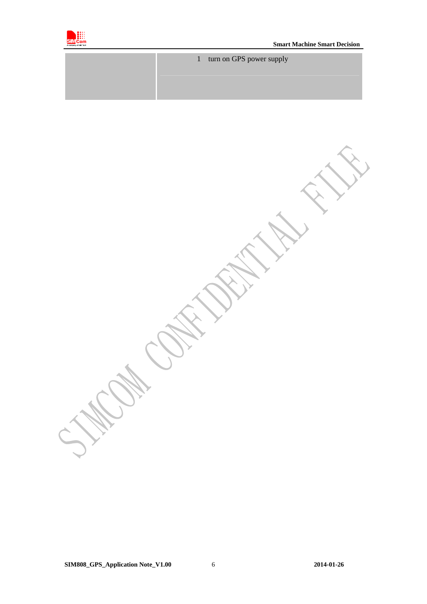

| 1 turn on GPS power supply |
|----------------------------|
|                            |
|                            |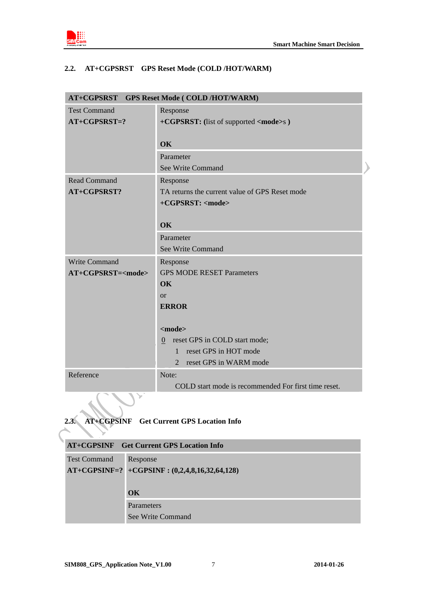<span id="page-6-0"></span>

### **2.2. AT+CGPSRST GPS Reset Mode (COLD /HOT/WARM)**

| <b>GPS Reset Mode ( COLD /HOT/WARM)</b><br>AT+CGPSRST |                                                      |  |
|-------------------------------------------------------|------------------------------------------------------|--|
| <b>Test Command</b>                                   | Response                                             |  |
| $AT+CGPSRST=?$                                        | +CGPSRST: (list of supported <mode>s)</mode>         |  |
|                                                       |                                                      |  |
|                                                       | OK                                                   |  |
|                                                       | Parameter                                            |  |
|                                                       | See Write Command                                    |  |
| <b>Read Command</b>                                   | Response                                             |  |
| AT+CGPSRST?                                           | TA returns the current value of GPS Reset mode       |  |
|                                                       | +CGPSRST: <mode></mode>                              |  |
|                                                       |                                                      |  |
|                                                       | OK                                                   |  |
|                                                       | Parameter                                            |  |
|                                                       | See Write Command                                    |  |
| <b>Write Command</b>                                  | Response                                             |  |
| AT+CGPSRST= <mode></mode>                             | <b>GPS MODE RESET Parameters</b>                     |  |
|                                                       | <b>OK</b>                                            |  |
|                                                       | $\alpha$                                             |  |
|                                                       | <b>ERROR</b>                                         |  |
|                                                       |                                                      |  |
|                                                       | $<$ mode $>$                                         |  |
|                                                       | reset GPS in COLD start mode;<br>$\overline{0}$      |  |
|                                                       | reset GPS in HOT mode<br>$\mathbf{1}$                |  |
|                                                       | reset GPS in WARM mode<br>$\overline{2}$             |  |
| Reference                                             | Note:                                                |  |
|                                                       | COLD start mode is recommended For first time reset. |  |
|                                                       |                                                      |  |

**2.3. AT+CGPSINF Get Current GPS Location Info** 

| <b>AT+CGPSINF</b> Get Current GPS Location Info |                                                    |  |
|-------------------------------------------------|----------------------------------------------------|--|
| <b>Test Command</b>                             | Response                                           |  |
|                                                 | $AT+CGPSINF=?$ +CGPSINF : $(0,2,4,8,16,32,64,128)$ |  |
|                                                 |                                                    |  |
|                                                 | OK                                                 |  |
|                                                 | <b>Parameters</b>                                  |  |
|                                                 | See Write Command                                  |  |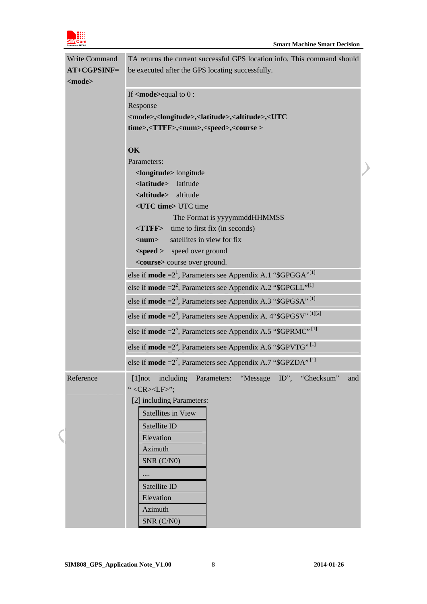

| <b>Write Command</b> | TA returns the current successful GPS location info. This command should                              |  |  |
|----------------------|-------------------------------------------------------------------------------------------------------|--|--|
| $AT+CGPSINF=$        | be executed after the GPS locating successfully.                                                      |  |  |
| <mode></mode>        |                                                                                                       |  |  |
|                      | If $\leq$ <b>mode</b> >equal to $0$ :                                                                 |  |  |
|                      | Response                                                                                              |  |  |
|                      | <mode>,<longitude>,<latitude>,<altitude>,<utc< th=""></utc<></altitude></latitude></longitude></mode> |  |  |
|                      | time>, <ttff>,<num>,<speed>,<course></course></speed></num></ttff>                                    |  |  |
|                      |                                                                                                       |  |  |
|                      | OK                                                                                                    |  |  |
|                      | Parameters:                                                                                           |  |  |
|                      | <longitude> longitude</longitude>                                                                     |  |  |
|                      | <latitude> latitude</latitude>                                                                        |  |  |
|                      | <altitude><br/>altitude</altitude>                                                                    |  |  |
|                      | <utc time=""> UTC time</utc>                                                                          |  |  |
|                      | The Format is yyyymmddHHMMSS                                                                          |  |  |
|                      | $\langle T \rangle$ time to first fix (in seconds)                                                    |  |  |
|                      | satellites in view for fix<br>$\langle$ num $\rangle$                                                 |  |  |
|                      | <speed> speed over ground</speed>                                                                     |  |  |
|                      | <course> course over ground.</course>                                                                 |  |  |
|                      | else if <b>mode</b> = $2^1$ , Parameters see Appendix A.1 "\$GPGGA" <sup>[1]</sup>                    |  |  |
|                      | else if <b>mode</b> = $2^2$ , Parameters see Appendix A.2 "\$GPGLL" <sup>[1]</sup>                    |  |  |
|                      | else if <b>mode</b> = $23$ , Parameters see Appendix A.3 "\$GPGSA" <sup>[1]</sup>                     |  |  |
|                      | else if <b>mode</b> = $2^4$ , Parameters see Appendix A. 4"\$GPGSV" <sup>[1][2]</sup>                 |  |  |
|                      | else if <b>mode</b> = $2^5$ , Parameters see Appendix A.5 "\$GPRMC" <sup>[1]</sup>                    |  |  |
|                      | else if mode = $2^6$ , Parameters see Appendix A.6 "\$GPVTG" <sup>[1]</sup>                           |  |  |
|                      | else if <b>mode</b> = $2^7$ , Parameters see Appendix A.7 "\$GPZDA" <sup>[1]</sup>                    |  |  |
| Reference            | [1]not including Parameters: "Message ID", "Checksum"<br>and                                          |  |  |
|                      | " <cr><lf>";</lf></cr>                                                                                |  |  |
|                      | [2] including Parameters:                                                                             |  |  |
|                      | Satellites in View                                                                                    |  |  |
|                      | Satellite ID                                                                                          |  |  |
|                      | Elevation                                                                                             |  |  |
|                      | Azimuth                                                                                               |  |  |
|                      | $SNR$ $(C/N0)$                                                                                        |  |  |
|                      |                                                                                                       |  |  |
|                      | Satellite ID                                                                                          |  |  |
|                      | Elevation                                                                                             |  |  |
|                      | Azimuth                                                                                               |  |  |
|                      | $SNR$ $(C/N0)$                                                                                        |  |  |

 $\overline{\mathcal{L}}$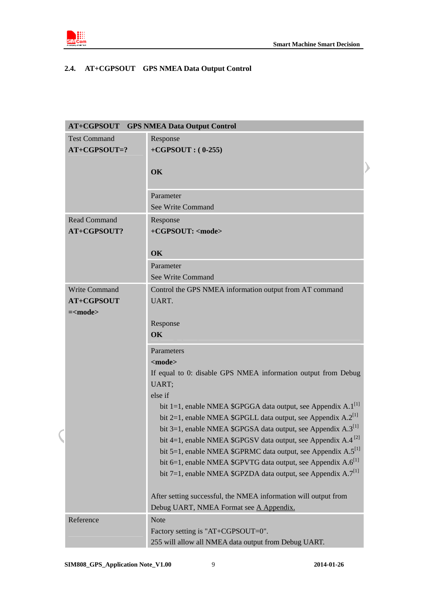<span id="page-8-0"></span>

### **2.4. AT+CGPSOUT GPS NMEA Data Output Control**

|                     | <b>AT+CGPSOUT</b> GPS NMEA Data Output Control                                |
|---------------------|-------------------------------------------------------------------------------|
| <b>Test Command</b> | Response                                                                      |
| $AT+CGPSOUT=?$      | $+CGPSOUT: (0-255)$                                                           |
|                     | OK                                                                            |
|                     |                                                                               |
|                     | Parameter                                                                     |
|                     | See Write Command                                                             |
| <b>Read Command</b> | Response                                                                      |
| AT+CGPSOUT?         | +CGPSOUT: <mode></mode>                                                       |
|                     |                                                                               |
|                     | OK<br>Parameter                                                               |
|                     | See Write Command                                                             |
| Write Command       | Control the GPS NMEA information output from AT command                       |
| AT+CGPSOUT          | UART.                                                                         |
| $=\frac{1}{2}$      |                                                                               |
|                     | Response                                                                      |
|                     | OK                                                                            |
|                     | Parameters                                                                    |
|                     | $mode$                                                                        |
|                     | If equal to 0: disable GPS NMEA information output from Debug                 |
|                     | UART;                                                                         |
|                     | else if<br>bit 1=1, enable NMEA \$GPGGA data output, see Appendix $A.1^{[1]}$ |
|                     | bit 2=1, enable NMEA \$GPGLL data output, see Appendix $A.2^{[1]}$            |
|                     | bit 3=1, enable NMEA \$GPGSA data output, see Appendix $A.3^{[1]}$            |
|                     | bit 4=1, enable NMEA \$GPGSV data output, see Appendix A.4 <sup>[2]</sup>     |
|                     | bit 5=1, enable NMEA \$GPRMC data output, see Appendix A.5 <sup>[1]</sup>     |
|                     | bit 6=1, enable NMEA \$GPVTG data output, see Appendix $A.6^{[1]}$            |
|                     | bit 7=1, enable NMEA \$GPZDA data output, see Appendix A.7 <sup>[1]</sup>     |
|                     | After setting successful, the NMEA information will output from               |
|                     | Debug UART, NMEA Format see A Appendix.                                       |
| Reference           | <b>Note</b>                                                                   |
|                     | Factory setting is "AT+CGPSOUT=0".                                            |
|                     | 255 will allow all NMEA data output from Debug UART.                          |

 $\overline{\mathcal{L}}$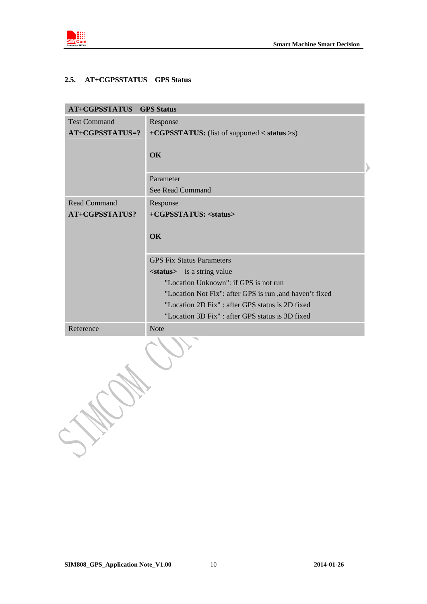<span id="page-9-0"></span>

### **2.5. AT+CGPSSTATUS GPS Status**

| <b>AT+CGPSSTATUS</b> GPS Status              |                                                                 |  |
|----------------------------------------------|-----------------------------------------------------------------|--|
| <b>Test Command</b>                          | Response                                                        |  |
| AT+CGPSSTATUS=?                              | +CGPSSTATUS: (list of supported < status >s)                    |  |
|                                              | OK                                                              |  |
|                                              | Parameter                                                       |  |
|                                              | <b>See Read Command</b>                                         |  |
| <b>Read Command</b><br><b>AT+CGPSSTATUS?</b> | Response<br>+CGPSSTATUS: <status></status>                      |  |
|                                              | OK                                                              |  |
|                                              | <b>GPS Fix Status Parameters</b>                                |  |
|                                              | <status> is a string value</status>                             |  |
|                                              | "Location Unknown": if GPS is not run                           |  |
|                                              | "Location Not Fix": after GPS is run ,and haven't fixed         |  |
|                                              | "Location 2D Fix" : after GPS status is 2D fixed                |  |
| Reference                                    | "Location 3D Fix" : after GPS status is 3D fixed<br><b>Note</b> |  |
|                                              |                                                                 |  |
|                                              |                                                                 |  |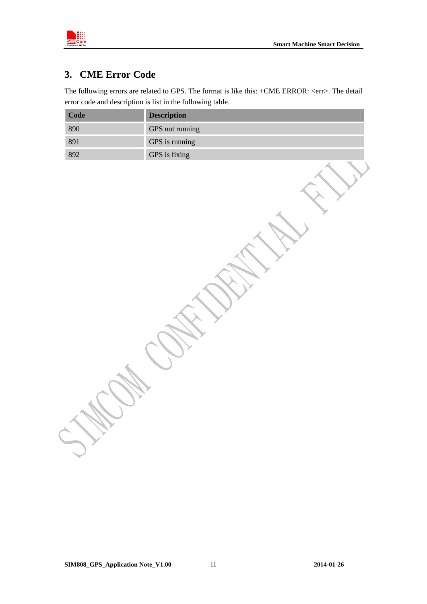<span id="page-10-0"></span>

# **3. CME Error Code**

The following errors are related to GPS. The format is like this: +CME ERROR: <err>. The detail error code and description is list in the following table.

| Code | <b>Description</b> |
|------|--------------------|
| 890  | GPS not running    |
| 891  | GPS is running     |
| 892  | GPS is fixing      |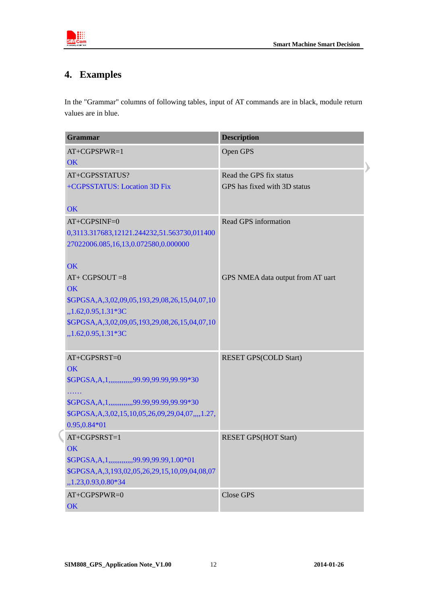<span id="page-11-0"></span>

# **4. Examples**

In the "Grammar" columns of following tables, input of AT commands are in black, module return values are in blue.

| Grammar                                                      | <b>Description</b>                |
|--------------------------------------------------------------|-----------------------------------|
| $AT+CGPSPWR=1$                                               | Open GPS                          |
| OK                                                           |                                   |
| AT+CGPSSTATUS?                                               | Read the GPS fix status           |
| +CGPSSTATUS: Location 3D Fix                                 | GPS has fixed with 3D status      |
|                                                              |                                   |
| OK                                                           |                                   |
| $AT+CGPSINF=0$                                               | Read GPS information              |
| 0,3113.317683,12121.244232,51.563730,011400                  |                                   |
| 27022006.085,16,13,0.072580,0.000000                         |                                   |
|                                                              |                                   |
| OK<br>$AT+ CGPSOUT = 8$                                      |                                   |
| OK                                                           | GPS NMEA data output from AT uart |
| \$GPGSA, A, 3, 02, 09, 05, 193, 29, 08, 26, 15, 04, 07, 10   |                                   |
| $,1.62,0.95,1.31*3C$                                         |                                   |
| \$GPGSA, A, 3, 02, 09, 05, 193, 29, 08, 26, 15, 04, 07, 10   |                                   |
| $,1.62,0.95,1.31*3C$                                         |                                   |
|                                                              |                                   |
| $AT+CGPSRST=0$                                               | <b>RESET GPS(COLD Start)</b>      |
| <b>OK</b>                                                    |                                   |
| \$GPGSA, A, 1,  ,  ,  , 99.99, 99.99, 99.99*30               |                                   |
| .                                                            |                                   |
| \$GPGSA, A, 1,,,,,,,,,,,,,,99.99,99.99,99.99*30              |                                   |
| \$GPGSA, A, 3, 02, 15, 10, 05, 26, 09, 29, 04, 07, ,,, 1.27, |                                   |
| $0.95, 0.84*01$                                              |                                   |
| $AT+CGPSRST=1$                                               | <b>RESET GPS(HOT Start)</b>       |
| <b>OK</b>                                                    |                                   |
| \$GPGSA, A, 1, , 99.99, 99.99, 1.00*01                       |                                   |
| \$GPGSA, A, 3, 193, 02, 05, 26, 29, 15, 10, 09, 04, 08, 07   |                                   |
| ,,1.23,0.93,0.80*34                                          |                                   |
| AT+CGPSPWR=0                                                 | <b>Close GPS</b>                  |
| OK                                                           |                                   |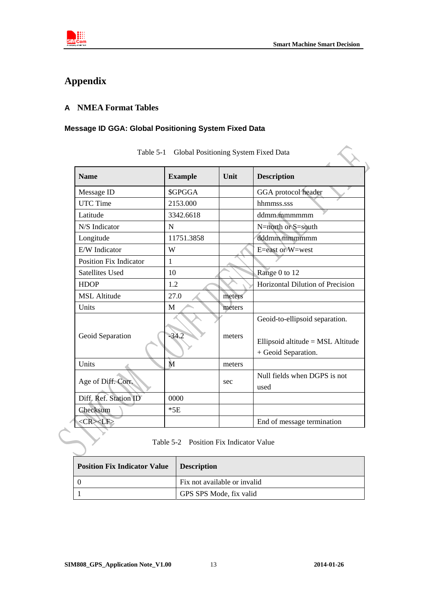<span id="page-12-0"></span>

 $\left\langle \right\rangle$ 

# **Appendix**

### **A NMEA Format Tables**

### **Message ID GGA: Global Positioning System Fixed Data**

| <b>Name</b>                   | <b>Example</b> | Unit   | <b>Description</b>                                                                         |
|-------------------------------|----------------|--------|--------------------------------------------------------------------------------------------|
| Message ID                    | \$GPGGA        |        | GGA protocol header                                                                        |
| <b>UTC Time</b>               | 2153.000       |        | hhmmss.sss                                                                                 |
| Latitude                      | 3342.6618      |        | ddmm.mmmmmm                                                                                |
| N/S Indicator                 | N              |        | N=north or S=south                                                                         |
| Longitude                     | 11751.3858     |        | dddmm.mmmmmm                                                                               |
| E/W Indicator                 | W              |        | E=east or W=west                                                                           |
| <b>Position Fix Indicator</b> | 1              |        |                                                                                            |
| <b>Satellites Used</b>        | 10             |        | Range 0 to 12                                                                              |
| <b>HDOP</b>                   | 1.2            |        | Horizontal Dilution of Precision                                                           |
| <b>MSL Altitude</b>           | 27.0           | meters |                                                                                            |
| Units                         | M              | meters |                                                                                            |
| Geoid Separation              | $-34.2$        | meters | Geoid-to-ellipsoid separation.<br>Ellipsoid altitude = MSL Altitude<br>+ Geoid Separation. |
| Units                         | M              | meters |                                                                                            |
| Age of Diff. Corr.            |                | sec    | Null fields when DGPS is not<br>used                                                       |
| Diff. Ref. Station ID         | 0000           |        |                                                                                            |
| Checksum                      | $*5E$          |        |                                                                                            |
|                               |                |        | End of message termination                                                                 |

|  |  | Table 5-1 Global Positioning System Fixed Data |  |  |  |
|--|--|------------------------------------------------|--|--|--|
|--|--|------------------------------------------------|--|--|--|

Table 5-2 Position Fix Indicator Value

| <b>Position Fix Indicator Value</b> | <b>Description</b>           |  |
|-------------------------------------|------------------------------|--|
|                                     | Fix not available or invalid |  |
|                                     | GPS SPS Mode, fix valid      |  |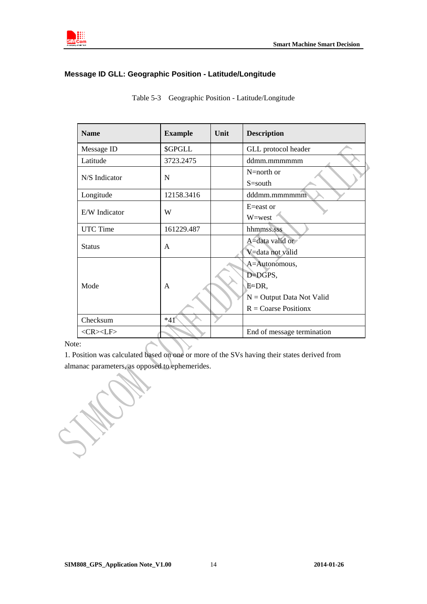<span id="page-13-0"></span>

### **Message ID GLL: Geographic Position - Latitude/Longitude**

| <b>Name</b>       | <b>Example</b> | Unit | <b>Description</b>            |
|-------------------|----------------|------|-------------------------------|
| Message ID        | \$GPGLL        |      | GLL protocol header           |
| Latitude          | 3723.2475      |      | ddmm.mmmmmm                   |
| N/S Indicator     | N              |      | $N=$ north or                 |
|                   |                |      | $S = south$                   |
| Longitude         | 12158.3416     |      | dddmm.mmmmmm                  |
| E/W Indicator     | W              |      | $E =$ east or                 |
|                   |                |      | W=west                        |
| <b>UTC</b> Time   | 161229.487     |      | hhmmss.sss                    |
| <b>Status</b>     | A              |      | A=data valid or               |
|                   |                |      | V=data not valid              |
|                   |                |      | A=Autonomous,                 |
|                   |                |      | D=DGPS,                       |
| Mode              | A              |      | È≐DR,                         |
|                   |                |      | $N =$ Output Data Not Valid   |
|                   |                |      | $R = \text{Coarse Position}x$ |
| Checksum          | $*41$          |      |                               |
| $<$ CR> <lf></lf> |                |      | End of message termination    |

Table 5-3 Geographic Position - Latitude/Longitude

Note:

1. Position was calculated based on one or more of the SVs having their states derived from almanac parameters, as opposed to ephemerides.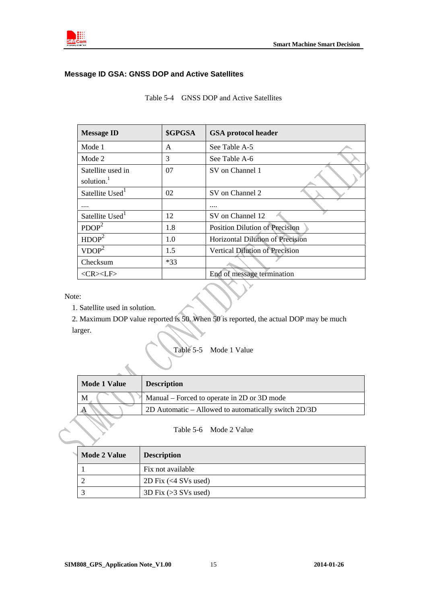<span id="page-14-0"></span>

### **Message ID GSA: GNSS DOP and Active Satellites**

| <b>Message ID</b>                           | \$GPGSA | <b>GSA</b> protocol header              |  |
|---------------------------------------------|---------|-----------------------------------------|--|
| Mode 1                                      | A       | See Table A-5                           |  |
| Mode 2                                      | 3       | See Table A-6                           |  |
| Satellite used in<br>solution. <sup>1</sup> | 07      | SV on Channel 1                         |  |
| Satellite Used <sup>1</sup>                 | 02      | SV on Channel 2                         |  |
|                                             |         |                                         |  |
| Satellite Used <sup>1</sup>                 | 12      | SV on Channel 12                        |  |
| PDOP <sup>2</sup>                           | 1.8     | <b>Position Dilution of Precision</b>   |  |
| HDOP <sup>2</sup>                           | 1.0     | <b>Horizontal Dilution of Precision</b> |  |
| VDOP <sup>2</sup>                           | 1.5     | <b>Vertical Dilution of Precision</b>   |  |
| Checksum                                    | $*33$   |                                         |  |
| $<$ CR> $<$ LF>                             |         | End of message termination              |  |

Table 5-4 GNSS DOP and Active Satellites

Note:

1. Satellite used in solution.

2. Maximum DOP value reported is 50. When 50 is reported, the actual DOP may be much larger.



| Mode 1 Value | <b>Description</b>                                   |
|--------------|------------------------------------------------------|
| M            | Manual – Forced to operate in 2D or 3D mode          |
| A            | 2D Automatic – Allowed to automatically switch 2D/3D |
|              |                                                      |

Table 5-6 Mode 2 Value

| <b>Mode 2 Value</b> | <b>Description</b>          |
|---------------------|-----------------------------|
|                     | Fix not available           |
|                     | 2D Fix $(<\sim$ 4 SVs used) |
|                     | 3D Fix $(>3$ SVs used)      |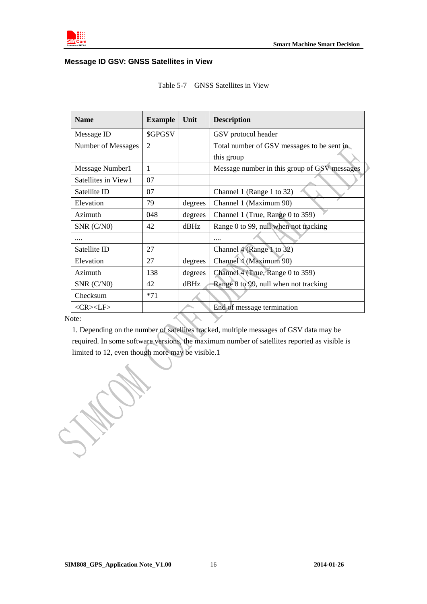<span id="page-15-0"></span>

### **Message ID GSV: GNSS Satellites in View**

| <b>Name</b>         | <b>Example</b> | Unit    | <b>Description</b>                           |
|---------------------|----------------|---------|----------------------------------------------|
| Message ID          | \$GPGSV        |         | GSV protocol header                          |
| Number of Messages  | $\overline{2}$ |         | Total number of GSV messages to be sent in   |
|                     |                |         | this group                                   |
| Message Number1     | 1              |         | Message number in this group of GSV messages |
| Satellites in View1 | 07             |         |                                              |
| Satellite ID        | 07             |         | Channel 1 (Range 1 to 32)                    |
| Elevation           | 79             | degrees | Channel 1 (Maximum 90)                       |
| Azimuth             | 048            | degrees | Channel 1 (True, Range 0 to 359)             |
| $SNR$ ( $C/N0$ )    | 42             | dBHz    | Range 0 to 99, null when not tracking        |
|                     |                |         |                                              |
| Satellite ID        | 27             |         | Channel 4 (Range 1 to 32)                    |
| Elevation           | 27             | degrees | Channel 4 (Maximum 90)                       |
| Azimuth             | 138            | degrees | Channel 4 (True, Range 0 to 359)             |
| SNR (C/N0)          | 42             | $d$ BHz | Range 0 to 99, null when not tracking        |
| Checksum            | $*71$          |         |                                              |
| $<$ CR> $<$ LF>     |                |         | End of message termination                   |
| ote:                |                |         |                                              |

| <b>GNSS</b> Satellites in View<br>Table 5-7 |
|---------------------------------------------|
|---------------------------------------------|

Note:

1. Depending on the number of satellites tracked, multiple messages of GSV data may be required. In some software versions, the maximum number of satellites reported as visible is limited to 12, even though more may be visible.1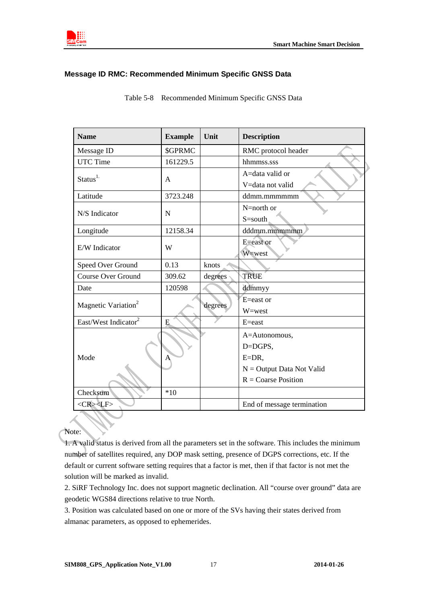<span id="page-16-0"></span>

#### **Message ID RMC: Recommended Minimum Specific GNSS Data**

| <b>Name</b>                      | <b>Example</b> | Unit    | <b>Description</b>                                                  |
|----------------------------------|----------------|---------|---------------------------------------------------------------------|
| Message ID                       | <b>\$GPRMC</b> |         | RMC protocol header                                                 |
| <b>UTC Time</b>                  | 161229.5       |         | hhmmss.sss                                                          |
| Status <sup>1</sup>              | A              |         | A=data valid or<br>V=data not valid                                 |
| Latitude                         | 3723.248       |         | ddmm.mmmmmm                                                         |
| N/S Indicator                    | N              |         | N=north or<br>S=south                                               |
| Longitude                        | 12158.34       |         | dddmm.mmmmmm                                                        |
| E/W Indicator                    | W              |         | E=east or<br>W=west                                                 |
| Speed Over Ground                | 0.13           | knots   |                                                                     |
| <b>Course Over Ground</b>        | 309.62         | degrees | <b>TRUE</b>                                                         |
| Date                             | 120598         |         | ddmmyy                                                              |
| Magnetic Variation <sup>2</sup>  |                | degrees | E=east or<br>W=west                                                 |
| East/West Indicator <sup>2</sup> | E              |         | $E = east$                                                          |
| Mode                             | Α              |         | A=Autonomous,<br>D=DGPS,<br>$E=DR$ ,<br>$N =$ Output Data Not Valid |
|                                  |                |         | $R = \text{Coarse Position}$                                        |
| Checksum                         | $*10$          |         |                                                                     |
| $<$ CR> <lf></lf>                |                |         | End of message termination                                          |

Table 5-8 Recommended Minimum Specific GNSS Data

Note:

1. A valid status is derived from all the parameters set in the software. This includes the minimum number of satellites required, any DOP mask setting, presence of DGPS corrections, etc. If the default or current software setting requires that a factor is met, then if that factor is not met the solution will be marked as invalid.

3. Position was calculated based on one or more of the SVs having their states derived from almanac parameters, as opposed to ephemerides.

<sup>2.</sup> SiRF Technology Inc. does not support magnetic declination. All "course over ground" data are geodetic WGS84 directions relative to true North.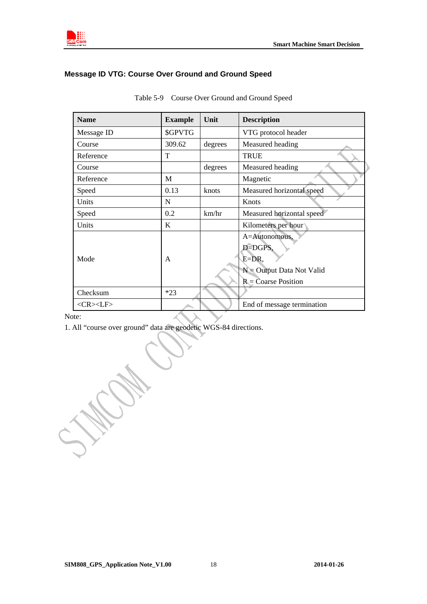<span id="page-17-0"></span>

### **Message ID VTG: Course Over Ground and Ground Speed**

| <b>Name</b>     | <b>Example</b> | Unit    | <b>Description</b>                                                                                       |
|-----------------|----------------|---------|----------------------------------------------------------------------------------------------------------|
| Message ID      | <b>\$GPVTG</b> |         | VTG protocol header                                                                                      |
| Course          | 309.62         | degrees | Measured heading                                                                                         |
| Reference       | T              |         | <b>TRUE</b>                                                                                              |
| Course          |                | degrees | Measured heading                                                                                         |
| Reference       | M              |         | Magnetic                                                                                                 |
| Speed           | 0.13           | knots   | Measured horizontal speed                                                                                |
| Units           | N              |         | Knots                                                                                                    |
| Speed           | 0.2            | km/hr   | Measured horizontal speed                                                                                |
| Units           | K              |         | Kilometers per hour                                                                                      |
| Mode            | A              |         | A=Autonomous,<br>D=DGPS,<br>$E=DR$ ,<br>$N =$ Output Data Not Valid<br>$R = \overline{C}$ oarse Position |
| Checksum        | $*23$          |         |                                                                                                          |
| $<$ CR> $<$ LF> |                |         | End of message termination                                                                               |

Table 5-9 Course Over Ground and Ground Speed

Note:

1. All "course over ground" data are geodetic WGS-84 directions.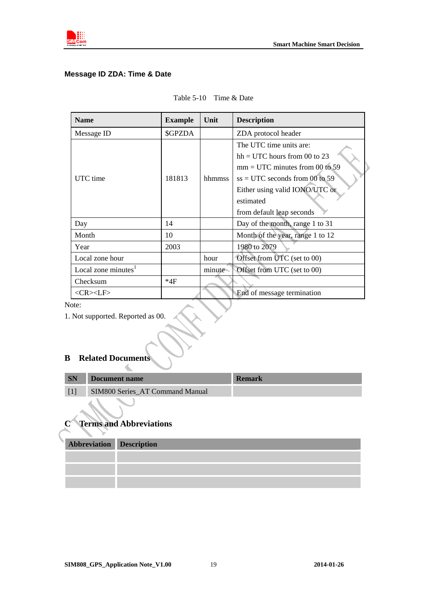<span id="page-18-0"></span>

### **Message ID ZDA: Time & Date**

| <b>Name</b>            | <b>Example</b> | Unit   | <b>Description</b>                                                                                                                                                                                            |
|------------------------|----------------|--------|---------------------------------------------------------------------------------------------------------------------------------------------------------------------------------------------------------------|
| Message ID             | \$GPZDA        |        | ZDA protocol header                                                                                                                                                                                           |
| UTC time               | 181813         | hhmmss | The UTC time units are:<br>$hh = UTC$ hours from 00 to 23<br>$mm = UTC$ minutes from 00 to 59<br>$ss = UTC$ seconds from 00 to 59<br>Either using valid IONO/UTC or<br>estimated<br>from default leap seconds |
| Day                    | 14             |        | Day of the month, range 1 to 31                                                                                                                                                                               |
| Month                  | 10             |        | Month of the year, range 1 to 12                                                                                                                                                                              |
| Year                   | 2003           |        | 1980 to 2079                                                                                                                                                                                                  |
| Local zone hour        |                | hour   | Offset from UTC (set to 00)                                                                                                                                                                                   |
| Local zone minutes $1$ |                | minute | Offset from UTC (set to 00)                                                                                                                                                                                   |
| Checksum               | *4F            |        |                                                                                                                                                                                                               |
| <cr><lf></lf></cr>     |                |        | End of message termination                                                                                                                                                                                    |

Note:

1. Not supported. Reported as 00.

#### **B Related Documents**   $\triangle$

| <b>SN</b> | Document name                   | <b>Remark</b> |
|-----------|---------------------------------|---------------|
|           | SIM800 Series AT Command Manual |               |
|           |                                 |               |

### **C Terms and Abbreviations**

| Abbreviation Description |  |
|--------------------------|--|
|                          |  |
|                          |  |
|                          |  |